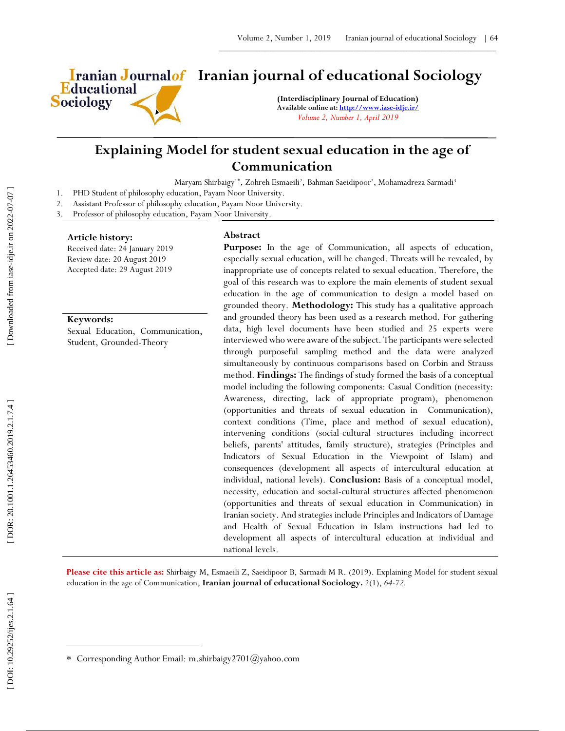

# **Iranian Journalof** Iranian journal of educational Sociology

**(Interdisciplinary Journal of Education) Available online at[: http://www.iase](http://www.iase-idje.ir/) -idje.ir/** *Volume 2, Number 1, April 2019*

## **Explaining Model for student sexual education in the age of Communication**

Maryam Shirbaigy<sup>1\*</sup>, Zohreh Esmaeili<sup>2</sup>, Bahman Saeidipoor<sup>2</sup>, Mohamadreza Sarmadi<sup>3</sup>

- 1. PHD Student of philosophy education, Payam Noor University.
- 2. Assistant Professor of philosophy education, Payam Noor University.

3. Professor of philosophy education, Payam Noor University.

#### **Article history:**

Received date: 24 January 2019 Review date: 20 August 2019 Accepted date: 29 August 2019

#### **Keywords:**

Sexual Education, Communication, Student, Grounded-Theory

#### **Abstract**

**Purpose :** In the age of Communication, all aspects of education, especially sexual education, will be changed. Threats will be revealed, by inappropriate use of concepts related to sexual education. Therefore, the goal of this research was to explore the main elements of student sexual education in the age of communication to design a model based on grounded theory. **Methodology:** This study has a qualitative approach and grounded theory has been used as a research method. For gathering data, high level documents have been studied and 25 experts were interviewed who were aware of the subject. The participants were selected through purposeful sampling method and the data were analyzed simultaneously by continuous comparisons based on Corbin and Strauss method. **Findings:** The findings of study formed the basis of a conceptual model including the following components: Casual Condition (necessity: Awareness, directing, lack of appropriate program), phenomenon (opportunities and threats of sexual education in Communication), context conditions (Time, place and method of sexual education), intervening conditions (social -cultural structures including incorrect beliefs, parents' attitudes, family structure), strategies (Principles and Indicators of Sexual Education in the Viewpoint of Islam) and consequences (development all aspects of intercultural education at individual, national levels). **Conclusion:** Basis of a conceptual model, necessity, education and social -cultural structures affected phenomenon (opportunities and threats of sexual education in Communication) in Iranian society. And strategies include Principles and Indicators of Damage and Health of Sexual Education in Islam instructions had led to development all aspects of intercultural education at individual and national levels.

Please cite this article as: Shirbaigy M, Esmaeili Z, Saeidipoor B, Sarmadi M R. (2019). Explaining Model for student sexual education in the age of Communication , **Iranian journal of educational Sociology .** 2 ( 1), *64 -72.*

 $\overline{a}$ 

Corresponding Author Email: m.shirbaigy2701@yahoo.com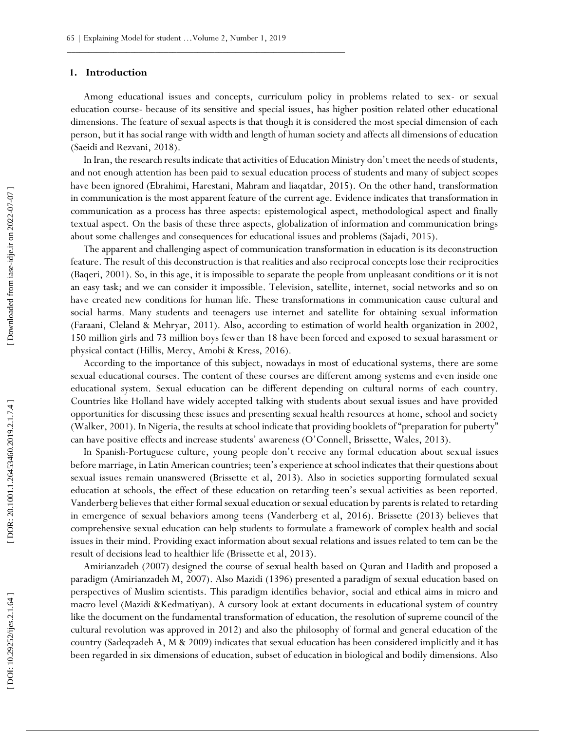#### **1. Introduction**

Among educational issues and concepts, curriculum policy in problems related to sex - or sexual education course - because of its sensitive and special issues, has higher position related other educational dimensions. The feature of sexual aspects is that though it is considered the most special dimension of each person, but it has social range with width and length of human society and affects all dimensions of education (Saeidi and Rezvani, 2018).

In Iran, the research results indicate that activities of Education Ministry don't meet the needs of students, and not enough attention has been paid to sexual education process of students and many of subject scopes have been ignored (Ebrahimi, Harestani, Mahram and liaqatdar, 2015). On the other hand, transformation in communication is the most apparent feature of the current age. Evidence indicates that transformation in communication as a process has three aspects: epistemological aspect, methodological aspect and finally textual aspect. On the basis of these three aspects, globalization of information and communication brings about some challenges and consequences for educational issues and problems (Sajadi, 2015).

The apparent and challenging aspect of communication transformation in education is its deconstruction feature. The result of this deconstruction is that realities and also reciprocal concepts lose their reciprocities (Baqeri, 2001). So, in this age, it is impossible to separate the people from unpleasant conditions or it is not an easy task; and we can consider it impossible. Television, satellite, internet, social networks and so on have created new conditions for human life. These transformations in communication cause cultural and social harms. Many students and teenagers use internet and satellite for obtaining sexual information (Faraani, Cleland & Mehryar, 2011). Also, according to estimation of world health organization in 2002, 150 million girls and 73 million boys fewer than 18 have been forced and exposed to sexual harassment or physical contact (Hillis, Mercy, Amobi & Kress, 2016).

According to the importance of this subject, nowadays in most of educational systems, there are some sexual educational courses. The content of these courses are different among systems and even inside one educational system. Sexual education can be different depending on cultural norms of each country. Countries like Holland have widely accepted talking with students about sexual issues and have provided opportunities for discussing these issues and presenting sexual health resources at home, school and society (Walker, 2001). In Nigeria, the results at school indicate that providing booklets of "preparation for puberty" can have positive effects and increase students' awareness (O'Connell, Brissette, Wales, 2013).

In Spanish -Portuguese culture, young people don't receive any formal education about sexual issues before marriage, in Latin American countries; teen's experience at school indicates that their questions about sexual issues remain unanswered (Brissette et al, 2013). Also in societies supporting formulated sexual education at schools, the effect of these education on retarding teen's sexual activities as been reported. Vanderberg believes that either formal sexual education or sexual education by parents is related to retarding in emergence of sexual behaviors among teens (Vanderberg et al, 2016). Brissette (2013) believes that comprehensive sexual education can help students to formulate a framework of complex health and social issues in their mind. Providing exact information about sexual relations and issues related to tem can be the result of decisions lead to healthier life (Brissette et al, 2013).

Amirianzadeh (2007) designed the course of sexual health based on Quran and Hadith and proposed a paradigm (Amirianzadeh M, 2007). Also Mazidi (1396) presented a paradigm of sexual education based on perspectives of Muslim scientists. This paradigm identifies behavior, social and ethical aims in micro and macro level (Mazidi &Kedmatiyan). A cursory look at extant documents in educational system of country like the document on the fundamental transformation of education, the resolution of supreme council of the cultural revolution was approved in 2012) and also the philosophy of formal and general education of the country (Sadeqzadeh A, M & 2009) indicates that sexual education has been considered implicitly and it has been regarded in six dimensions of education, subset of education in biological and bodily dimensions. Also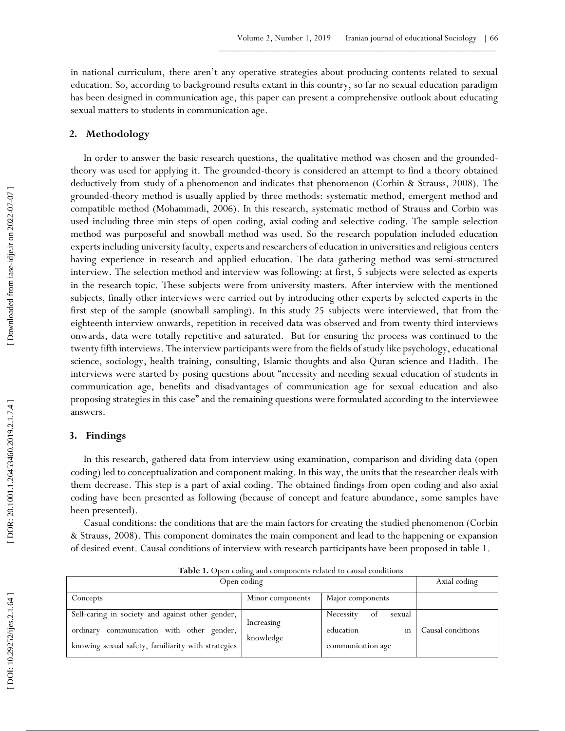in national curriculum, there aren't any operative strategies about producing contents related to sexual education. So, according to background results extant in this country, so far no sexual education paradigm has been designed in communication age, this paper can present a comprehensive outlook about educating sexual matters to students in communication age.

#### **2. Methodology**

In order to answer the basic research questions, the qualitative method was chosen and the grounded theory was used for applying it. The grounded -theory is considered an attempt to find a theory obtained deductively from study of a phenomenon and indicates that phenomenon (Corbin & Strauss, 2008). The grounded -theory method is usually applied by three methods: systematic method, emergent method and compatible method (Mohammadi, 2006). In this research, systematic method of Strauss and Corbin was used including three min steps of open coding, axial coding and selective coding. The sample selection method was purposeful and snowball method was used. So the research population included education experts including university faculty, experts and researchers of education in universities and religious centers having experience in research and applied education. The data gathering method was semi-structured interview. The selection method and interview was following: at first, 5 subjects were selected as experts in the research topic. These subjects were from university masters. After interview with the mentioned subjects, finally other interviews were carried out by introducing other experts by selected experts in the first step of the sample (snowball sampling). In this study 25 subjects were interviewed, that from the eighteenth interview onwards, repetition in received data was observed and from twenty third interviews onwards, data were totally repetitive and saturated. But for ensuring the process was continued to the twenty fifth interviews. The interview participants were from the fields of study like psychology, educational science, sociology, health training, consulting, Islamic thoughts and also Quran science and Hadith. The interviews were started by posing questions about "necessity and needing sexual education of students in communication age, benefits and disadvantages of communication age for sexual education and also proposing strategies in this case" and the remaining questions were formulated according to the interviewee answers.

### **3. Findings**

In this research, gathered data from interview using examination, comparison and dividing data (open coding) led to conceptualization and component making. In this way, the units that the researcher deals with them decrease. This step is a part of axial coding. The obtained findings from open coding and also axial coding have been presented as following (because of concept and feature abundance, some samples have been presented).

Casual conditions: the conditions that are the main factors for creating the studied phenomenon (Corbin & Strauss, 2008). This component dominates the main component and lead to the happening or expansion of desired event. Causal conditions of interview with research participants have been proposed in table 1.

| Open coding                                                                                                                                         |                         |                                                                   | Axial coding      |
|-----------------------------------------------------------------------------------------------------------------------------------------------------|-------------------------|-------------------------------------------------------------------|-------------------|
| Concepts                                                                                                                                            | Minor components        | Major components                                                  |                   |
| Self-caring in society and against other gender,<br>ordinary communication with other gender,<br>knowing sexual safety, familiarity with strategies | Increasing<br>knowledge | Necessity<br>sexual<br>οt<br>education<br>in<br>communication age | Causal conditions |

**Table 1 .** Open coding and components related to causal conditions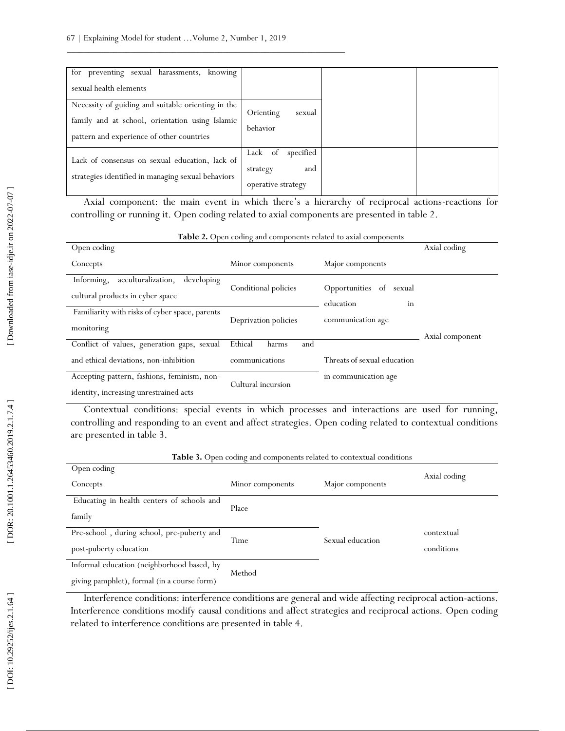| for preventing sexual harassments,<br>knowing<br>sexual health elements                                                                            |                                                               |  |
|----------------------------------------------------------------------------------------------------------------------------------------------------|---------------------------------------------------------------|--|
| Necessity of guiding and suitable orienting in the<br>family and at school, orientation using Islamic<br>pattern and experience of other countries | Orienting<br>sexual<br>behavior                               |  |
| Lack of consensus on sexual education, lack of<br>strategies identified in managing sexual behaviors                                               | specified<br>Lack of<br>and<br>strategy<br>operative strategy |  |

Axial component: the main event in which there's a hierarchy of reciprocal actions-reactions for controlling or running it. Open coding related to axial components are presented in table 2.

| <b>Table 2.</b> Open county and components related to axial components                |                         |                                            |                 |
|---------------------------------------------------------------------------------------|-------------------------|--------------------------------------------|-----------------|
| Open coding                                                                           |                         |                                            | Axial coding    |
| Concepts                                                                              | Minor components        | Major components                           |                 |
| acculturalization,<br>Informing,<br>developing<br>cultural products in cyber space    | Conditional policies    | Opportunities of sexual<br>education<br>in |                 |
| Familiarity with risks of cyber space, parents<br>monitoring                          | Deprivation policies    | communication age                          | Axial component |
| Conflict of values, generation gaps, sexual                                           | Ethical<br>and<br>harms |                                            |                 |
| and ethical deviations, non-inhibition                                                | communications          | Threats of sexual education                |                 |
| Accepting pattern, fashions, feminism, non-<br>identity, increasing unrestrained acts | Cultural incursion      | in communication age                       |                 |

 $Table 2 \, \Omega$ **.** Open coding and components related to axial components

Contextual conditions: special events in which processes and interactions are used for running, controlling and responding to an event and affect strategies. Open coding related to contextual conditions are presented in table 3.

| <b>Table 3.</b> Open coding and components related to contextual conditions |                  |                  |              |  |
|-----------------------------------------------------------------------------|------------------|------------------|--------------|--|
| Open coding                                                                 |                  |                  |              |  |
| Concepts                                                                    | Minor components | Major components | Axial coding |  |
| Educating in health centers of schools and                                  |                  |                  |              |  |
| family                                                                      | Place            |                  |              |  |
| Pre-school, during school, pre-puberty and                                  |                  |                  | contextual   |  |
| post-puberty education                                                      | Time             | Sexual education | conditions   |  |
| Informal education (neighborhood based, by                                  |                  |                  |              |  |
| giving pamphlet), formal (in a course form)                                 | Method           |                  |              |  |

Interference conditions: interference conditions are general and wide affecting reciprocal action-actions. Interference conditions modify causal conditions and affect strategies and reciprocal actions. Open coding related to interference conditions are presented in table 4.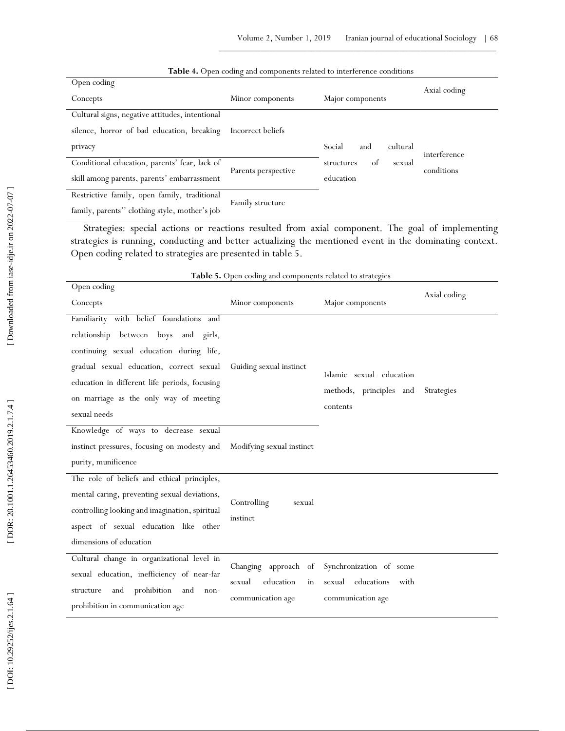| Open coding                                     |                     |                            | Axial coding |
|-------------------------------------------------|---------------------|----------------------------|--------------|
| Concepts                                        | Minor components    | Major components           |              |
| Cultural signs, negative attitudes, intentional |                     |                            |              |
| silence, horror of bad education, breaking      | Incorrect beliefs   |                            |              |
| privacy                                         |                     | Social<br>cultural<br>and  | interference |
| Conditional education, parents' fear, lack of   |                     | of<br>structures<br>sexual | conditions   |
| skill among parents, parents' embarrassment     | Parents perspective | education                  |              |
| Restrictive family, open family, traditional    | Family structure    |                            |              |
| family, parents" clothing style, mother's job   |                     |                            |              |

#### **Table 4 .** Open coding and components related to interference conditions

Strategies: special actions or reactions resulted from axial component. The goal of implementing strategies is running, conducting and better actualizing the mentioned event in the dominating context. Open coding related to strategies are presented in table 5.

| <b>radic 3.</b> Open county and components related to strategies      |                           |                                     |              |  |
|-----------------------------------------------------------------------|---------------------------|-------------------------------------|--------------|--|
| Open coding                                                           |                           |                                     |              |  |
| Concepts                                                              | Minor components          | Major components                    | Axial coding |  |
| Familiarity with belief foundations and                               |                           |                                     |              |  |
| relationship between boys and girls,                                  |                           |                                     |              |  |
| continuing sexual education during life,                              |                           |                                     |              |  |
| gradual sexual education, correct sexual Guiding sexual instinct      |                           | Islamic sexual education            |              |  |
| education in different life periods, focusing                         |                           |                                     |              |  |
| on marriage as the only way of meeting                                |                           | methods, principles and<br>contents | Strategies   |  |
| sexual needs                                                          |                           |                                     |              |  |
| Knowledge of ways to decrease sexual                                  |                           |                                     |              |  |
| instinct pressures, focusing on modesty and Modifying sexual instinct |                           |                                     |              |  |
| purity, munificence                                                   |                           |                                     |              |  |
| The role of beliefs and ethical principles,                           |                           |                                     |              |  |
| mental caring, preventing sexual deviations,                          | Controlling<br>sexual     |                                     |              |  |
| controlling looking and imagination, spiritual                        | instinct                  |                                     |              |  |
| aspect of sexual education like other                                 |                           |                                     |              |  |
| dimensions of education                                               |                           |                                     |              |  |
| Cultural change in organizational level in                            |                           |                                     |              |  |
| sexual education, inefficiency of near-far                            | Changing approach of      | Synchronization of some             |              |  |
| prohibition and<br>and<br>structure<br>non-                           | education<br>sexual<br>in | educations<br>sexual<br>with        |              |  |
| prohibition in communication age                                      | communication age         | communication age                   |              |  |

**Table 5 .** Open coding and components related to strategies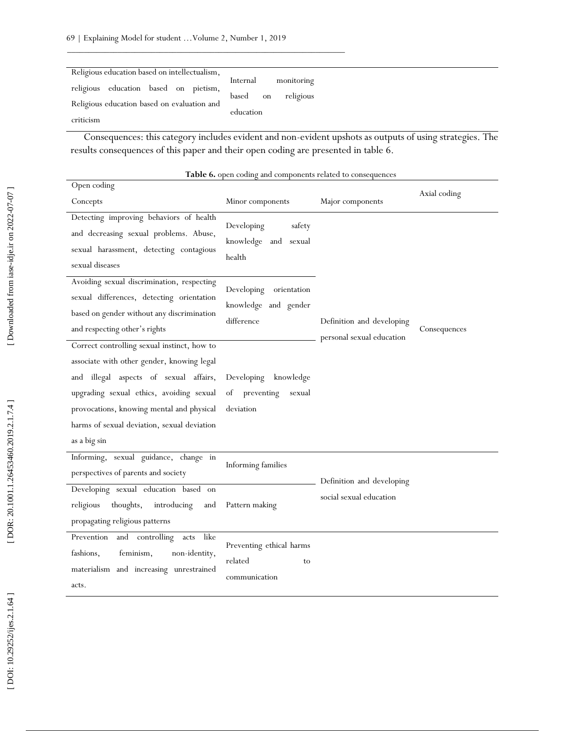| Religious education based on intellectualism, |                          |
|-----------------------------------------------|--------------------------|
| religious education based on pietism,         | Internal<br>monitoring   |
|                                               | religious<br>based<br>on |
| Religious education based on evaluation and   | education                |
| criticism                                     |                          |

Consequences: this category includes evident and non -evident upshots as outputs of using strategies. The results consequences of this paper and their open coding are presented in table 6.

| Open coding                                                                                                                                                                                                                                                                                 |                                                                                     |                                                        |              |
|---------------------------------------------------------------------------------------------------------------------------------------------------------------------------------------------------------------------------------------------------------------------------------------------|-------------------------------------------------------------------------------------|--------------------------------------------------------|--------------|
| Concepts                                                                                                                                                                                                                                                                                    | Minor components                                                                    | Major components                                       | Axial coding |
| Detecting improving behaviors of health<br>and decreasing sexual problems. Abuse,<br>sexual harassment, detecting contagious<br>sexual diseases<br>Avoiding sexual discrimination, respecting                                                                                               | Developing<br>safety<br>knowledge and sexual<br>health<br>Developing<br>orientation |                                                        |              |
| sexual differences, detecting orientation<br>based on gender without any discrimination<br>and respecting other's rights                                                                                                                                                                    | knowledge and gender<br>difference                                                  | Definition and developing<br>personal sexual education | Consequences |
| Correct controlling sexual instinct, how to<br>associate with other gender, knowing legal<br>and illegal aspects of sexual affairs,<br>upgrading sexual ethics, avoiding sexual<br>provocations, knowing mental and physical<br>harms of sexual deviation, sexual deviation<br>as a big sin | Developing<br>knowledge<br>preventing<br>οf<br>sexual<br>deviation                  |                                                        |              |
| Informing, sexual guidance, change in<br>perspectives of parents and society<br>Developing sexual education based on                                                                                                                                                                        | Informing families                                                                  | Definition and developing                              |              |
| religious<br>thoughts,<br>introducing<br>and<br>propagating religious patterns                                                                                                                                                                                                              | Pattern making                                                                      | social sexual education                                |              |
| like<br>Prevention<br>and controlling<br>acts<br>fashions,<br>feminism,<br>non-identity,<br>materialism and increasing unrestrained<br>acts.                                                                                                                                                | Preventing ethical harms<br>related<br>to<br>communication                          |                                                        |              |

**Table 6 .** open coding and components related to consequences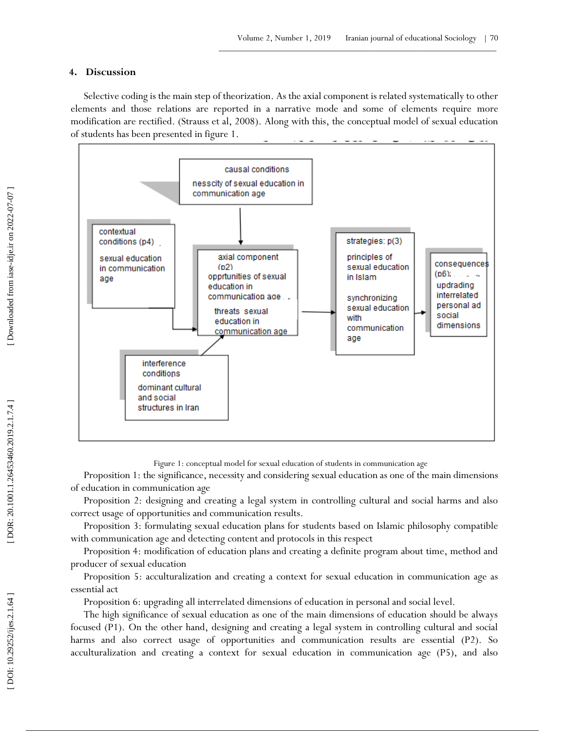### **4 . Discussion**

Selective coding is the main step of theorization. As the axial component is related systematically to other elements and those relations are reported in a narrative mode and some of elements require more modification are rectified. (Strauss et al, 2008). Along with this, the conceptual model of sexual education of students has been presented in figure 1.



Figure 1: conceptual model for sexual education of students in communication age

Proposition 1: the significance, necessity and considering sexual education as one of the main dimensions of education in communication age

Proposition 2: designing and creating a legal system in controlling cultural and social harms and also correct usage of opportunities and communication results.

Proposition 3: formulating sexual education plans for students based on Islamic philosophy compatible with communication age and detecting content and protocols in this respect

Proposition 4: modification of education plans and creating a definite program about time, method and producer of sexual education

Proposition 5: acculturalization and creating a context for sexual education in communication age as essential act

Proposition 6: upgrading all interrelated dimensions of education in personal and social level.

The high significance of sexual education as one of the main dimensions of education should be always focused (P1). On the other hand, designing and creating a legal system in controlling cultural and social harms and also correct usage of opportunities and communication results are essential (P2). So acculturalization and creating a context for sexual education in communication age (P5), and also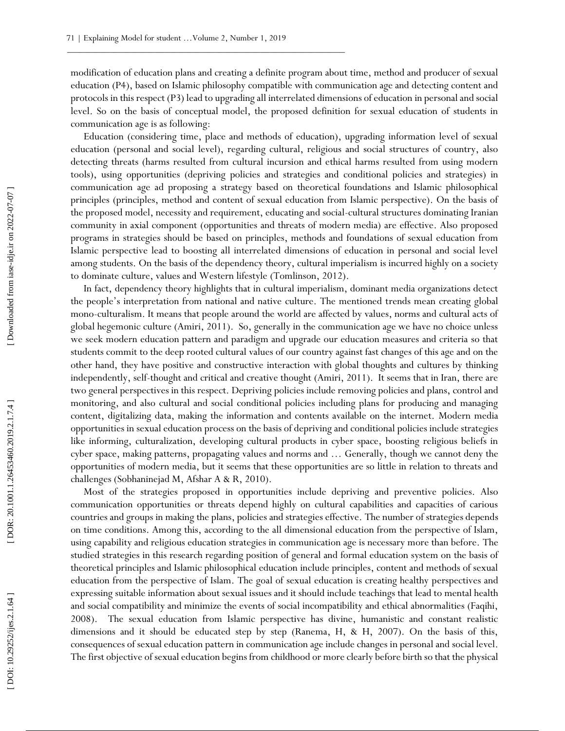modification of education plans and creating a definite program about time, method and producer of sexual education (P4), based on Islamic philosophy compatible with communication age and detecting content and protocols in this respect (P3) lead to upgrading all interrelated dimensions of education in personal and social level. So on the basis of conceptual model, the proposed definition for sexual education of students in communication age is as following:

Education (considering time, place and methods of education), upgrading information level of sexual education (personal and social level), regarding cultural, religious and social structures of country, also detecting threats (harms resulted from cultural incursion and ethical harms resulted from using modern tools), using opportunities (depriving policies and strategies and conditional policies and strategies) in communication age ad proposing a strategy based on theoretical foundations and Islamic philosophical principles (principles, method and content of sexual education from Islamic perspective). On the basis of the proposed model, necessity and requirement, educating and social -cultural structures dominating Iranian community in axial component (opportunities and threats of modern media) are effective. Also proposed programs in strategies should be based on principles, methods and foundations of sexual education from Islamic perspective lead to boosting all interrelated dimensions of education in personal and social level among students. On the basis of the dependency theory, cultural imperialism is incurred highly on a society to dominate culture, values and Western lifestyle (Tomlinson, 2012).

In fact, dependency theory highlights that in cultural imperialism, dominant media organizations detect the people's interpretation from national and native culture. The mentioned trends mean creating global mono -culturalism. It means that people around the world are affected by values, norms and cultural acts of global hegemonic culture (Amiri, 2011). So, generally in the communication age we have no choice unless we seek modern education pattern and paradigm and upgrade our education measures and criteria so that students commit to the deep rooted cultural values of our country against fast changes of this age and on the other hand, they have positive and constructive interaction with global thoughts and cultures by thinking independently, self-thought and critical and creative thought (Amiri, 2011). It seems that in Iran, there are two general perspectives in this respect. Depriving policies include removing policies and plans, control and monitoring, and also cultural and social conditional policies including plans for producing and managing content, digitalizing data, making the information and contents available on the internet. Modern media opportunities in sexual education process on the basis of depriving and conditional policies include strategies like informing, culturalization, developing cultural products in cyber space, boosting religious beliefs in cyber space, making patterns, propagating values and norms and … Generally, though we cannot deny the opportunities of modern media, but it seems that these opportunities are so little in relation to threats and challenges (Sobhaninejad M, Afshar A & R, 2010).

Most of the strategies proposed in opportunities include depriving and preventive policies. Also communication opportunities or threats depend highly on cultural capabilities and capacities of carious countries and groups in making the plans, policies and strategies effective. The number of strategies depend s on time conditions. Among this, according to the all dimensional education from the perspective of Islam, using capability and religious education strategies in communication age is necessary more than before. The studied strategies in this research regarding position of general and formal education system on the basis of theoretical principles and Islamic philosophical education include principles, content and methods of sexual education from the perspective of Islam. The goal of sexual education is creating healthy perspectives and expressing suitable information about sexual issues and it should include teachings that lead to mental health and social compatibility and minimize the events of social incompatibility and ethical abnormalities (Faqihi, 2008). The sexual education from Islamic perspective has divine, humanistic and constant realistic dimensions and it should be educated step by step (Ranema, H, & H, 2007). On the basis of this, consequences of sexual education pattern in communication age include changes in personal and social level. The first objective of sexual education begins from childhood or more clearly before birth so that the physical